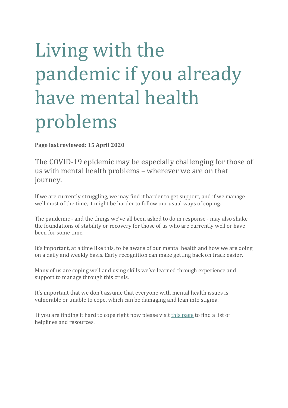# Living with the pandemic if you already have mental health problems

Page last reviewed: 15 April 2020

The COVID-19 epidemic may be especially challenging for those of us with mental health problems – wherever we are on that journey.

If we are currently struggling, we may find it harder to get support, and if we manage well most of the time, it might be harder to follow our usual ways of coping.

The pandemic - and the things we've all been asked to do in response - may also shake the foundations of stability or recovery for those of us who are currently well or have been for some time.

It's important, at a time like this, to be aware of our mental health and how we are doing on a daily and weekly basis. Early recognition can make getting back on track easier.

Many of us are coping well and using skills we've learned through experience and support to manage through this crisis.

It's important that we don't assume that everyone with mental health issues is vulnerable or unable to cope, which can be damaging and lean into stigma.

If you are finding it hard to cope right now please visit this page to find a list of helplines and resources.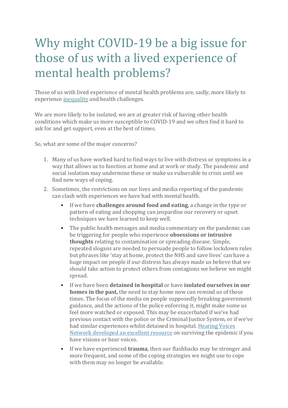# Why might COVID-19 be a big issue for those of us with a lived experience of mental health problems?

Those of us with lived experience of mental health problems are, sadly, more likely to experience inequality and health challenges.

We are more likely to be isolated, we are at greater risk of having other health conditions which make us more susceptible to COVID-19 and we often find it hard to ask for and get support, even at the best of times.

So, what are some of the major concerns?

- 1. Many of us have worked hard to find ways to live with distress or symptoms in a way that allows us to function at home and at work or study. The pandemic and social isolation may undermine these or make us vulnerable to crisis until we find new ways of coping.
- 2. Sometimes, the restrictions on our lives and media reporting of the pandemic can clash with experiences we have had with mental health.
	- If we have **challenges around food and eating**, a change in the type or pattern of eating and shopping can jeopardise our recovery or upset techniques we have learned to keep well.
	- The public health messages and media commentary on the pandemic can be triggering for people who experience **obsessions or intrusive thoughts** relating to contamination or spreading disease. Simple, repeated slogans are needed to persuade people to follow lockdown rules but phrases like 'stay at home, protect the NHS and save lives' can have a huge impact on people if our distress has always made us believe that we should take action to protect others from contagions we believe we might spread.
	- **•** If we have been **detained in hospital** or have **isolated ourselves in our homes in the past,** the need to stay home now can remind us of those times. The focus of the media on people supposedly breaking government guidance, and the actions of the police enforcing it, might make some us feel more watched or exposed. This may be exacerbated if we've had previous contact with the police or the Criminal Justice System, or if we've had similar experiences whilst detained in hospital. Hearing Voices Network developed an excellent resource on surviving the epidemic if you have visions or hear voices.
	- If we have experienced **trauma**, then our flashbacks may be stronger and more frequent, and some of the coping strategies we might use to cope with them may no longer be available.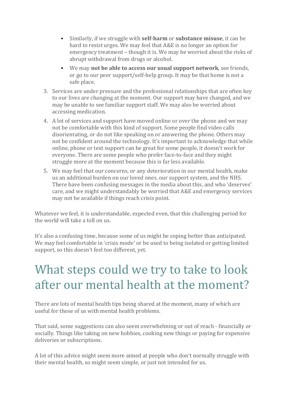- Similarly, if we struggle with **self-harm** or **substance misuse**, it can be hard to resist urges. We may feel that A&E is no longer an option for emergency treatment – though it is. We may be worried about the risks of abrupt withdrawal from drugs or alcohol.
- We may **not be able to access our usual support network**, see friends, or go to our peer support/self-help group. It may be that home is not a safe place.
- 3. Services are under pressure and the professional relationships that are often key to our lives are changing at the moment. Our support may have changed, and we may be unable to see familiar support staff. We may also be worried about accessing medication.
- 4. A lot of services and support have moved online or over the phone and we may not be comfortable with this kind of support. Some people find video calls disorientating, or do not like speaking on or answering the phone. Others may not be confident around the technology. It's important to acknowledge that while online, phone or text support can be great for some people, it doesn't work for everyone. There are some people who prefer face-to-face and they might struggle more at the moment because this is far less available.
- 5. We may feel that our concerns, or any deterioration in our mental health, make us an additional burden on our loved ones, our support system, and the NHS. There have been confusing messages in the media about this, and who 'deserves' care, and we might understandably be worried that A&E and emergency services may not be available if things reach crisis point.

Whatever we feel, it is understandable, expected even, that this challenging period for the world will take a toll on us.

It's also a confusing time, because some of us might be coping better than anticipated. We may feel comfortable in 'crisis mode' or be used to being isolated or getting limited support, so this doesn't feel too different, yet.

# What steps could we try to take to look after our mental health at the moment?

There are lots of mental health tips being shared at the moment, many of which are useful for those of us with mental health problems.

That said, some suggestions can also seem overwhelming or out of reach - financially or socially. Things like taking on new hobbies, cooking new things or paying for expensive deliveries or subscriptions.

A lot of this advice might seem more aimed at people who don't normally struggle with their mental health, so might seem simple, or just not intended for us.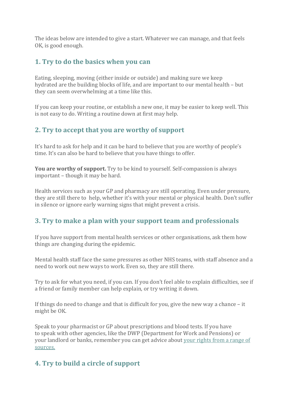The ideas below are intended to give a start. Whatever we can manage, and that feels OK, is good enough.

#### **1. Try to do the basics when you can**

Eating, sleeping, moving (either inside or outside) and making sure we keep hydrated are the building blocks of life, and are important to our mental health – but they can seem overwhelming at a time like this.

If you can keep your routine, or establish a new one, it may be easier to keep well. This is not easy to do. Writing a routine down at first may help.

#### **2.** Try to accept that you are worthy of support

It's hard to ask for help and it can be hard to believe that you are worthy of people's time. It's can also be hard to believe that you have things to offer.

**You are worthy of support.** Try to be kind to yourself. Self-compassion is always  $important$  – though it may be hard.

Health services such as your GP and pharmacy are still operating. Even under pressure, they are still there to help, whether it's with your mental or physical health. Don't suffer in silence or ignore early warning signs that might prevent a crisis.

### **3.** Try to make a plan with your support team and professionals

If you have support from mental health services or other organisations, ask them how things are changing during the epidemic.

Mental health staff face the same pressures as other NHS teams, with staff absence and a need to work out new ways to work. Even so, they are still there.

Try to ask for what you need, if you can. If you don't feel able to explain difficulties, see if a friend or family member can help explain, or try writing it down.

If things do need to change and that is difficult for you, give the new way a chance  $-$  it might be OK.

Speak to your pharmacist or GP about prescriptions and blood tests. If you have to speak with other agencies, like the DWP (Department for Work and Pensions) or your landlord or banks, remember you can get advice about your rights from a range of sources.

# **4. Try to build a circle of support**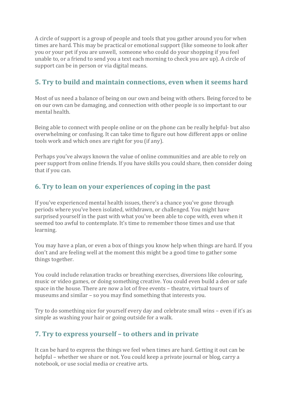A circle of support is a group of people and tools that you gather around you for when times are hard. This may be practical or emotional support (like someone to look after you or your pet if you are unwell, someone who could do your shopping if you feel unable to, or a friend to send you a text each morning to check you are up). A circle of support can be in person or via digital means.

## **5.** Try to build and maintain connections, even when it seems hard

Most of us need a balance of being on our own and being with others. Being forced to be on our own can be damaging, and connection with other people is so important to our mental health.

Being able to connect with people online or on the phone can be really helpful- but also overwhelming or confusing. It can take time to figure out how different apps or online tools work and which ones are right for you (if any).

Perhaps you've always known the value of online communities and are able to rely on peer support from online friends. If you have skills you could share, then consider doing that if you can.

## **6.** Try to lean on your experiences of coping in the past

If you've experienced mental health issues, there's a chance you've gone through periods where you've been isolated, withdrawn, or challenged. You might have surprised yourself in the past with what you've been able to cope with, even when it seemed too awful to contemplate. It's time to remember those times and use that learning.

You may have a plan, or even a box of things you know help when things are hard. If you don't and are feeling well at the moment this might be a good time to gather some things together.

You could include relaxation tracks or breathing exercises, diversions like colouring, music or video games, or doing something creative. You could even build a den or safe space in the house. There are now a lot of free events - theatre, virtual tours of museums and similar  $-$  so you may find something that interests you.

Try to do something nice for yourself every day and celebrate small wins – even if it's as simple as washing your hair or going outside for a walk.

### **7.** Try to express yourself – to others and in private

It can be hard to express the things we feel when times are hard. Getting it out can be helpful – whether we share or not. You could keep a private journal or blog, carry a notebook, or use social media or creative arts.